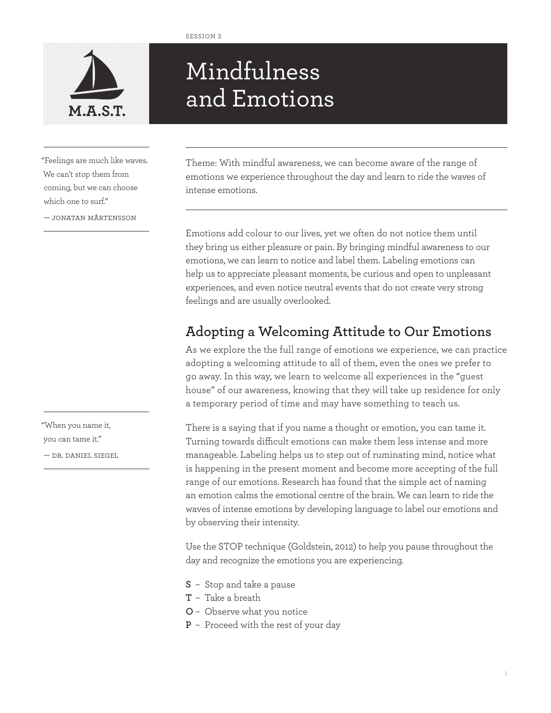

## Mindfulness and Emotions **M.A.S.T.**

"Feelings are much like waves. We can't stop them from coming, but we can choose which one to surf."

— jonatan mårtensson

Theme: With mindful awareness, we can become aware of the range of emotions we experience throughout the day and learn to ride the waves of intense emotions.

Emotions add colour to our lives, yet we often do not notice them until they bring us either pleasure or pain. By bringing mindful awareness to our emotions, we can learn to notice and label them. Labeling emotions can help us to appreciate pleasant moments, be curious and open to unpleasant experiences, and even notice neutral events that do not create very strong feelings and are usually overlooked.

## **Adopting a Welcoming Attitude to Our Emotions**

As we explore the the full range of emotions we experience, we can practice adopting a welcoming attitude to all of them, even the ones we prefer to go away. In this way, we learn to welcome all experiences in the "guest house" of our awareness, knowing that they will take up residence for only a temporary period of time and may have something to teach us.

There is a saying that if you name a thought or emotion, you can tame it. Turning towards difficult emotions can make them less intense and more manageable. Labeling helps us to step out of ruminating mind, notice what is happening in the present moment and become more accepting of the full range of our emotions. Research has found that the simple act of naming an emotion calms the emotional centre of the brain. We can learn to ride the waves of intense emotions by developing language to label our emotions and by observing their intensity.

Use the STOP technique (Goldstein, 2012) to help you pause throughout the day and recognize the emotions you are experiencing.

- **S** Stop and take a pause
- **T** Take a breath
- **O** Observe what you notice
- **P** Proceed with the rest of your day

"When you name it, you can tame it." — dr. daniel siegel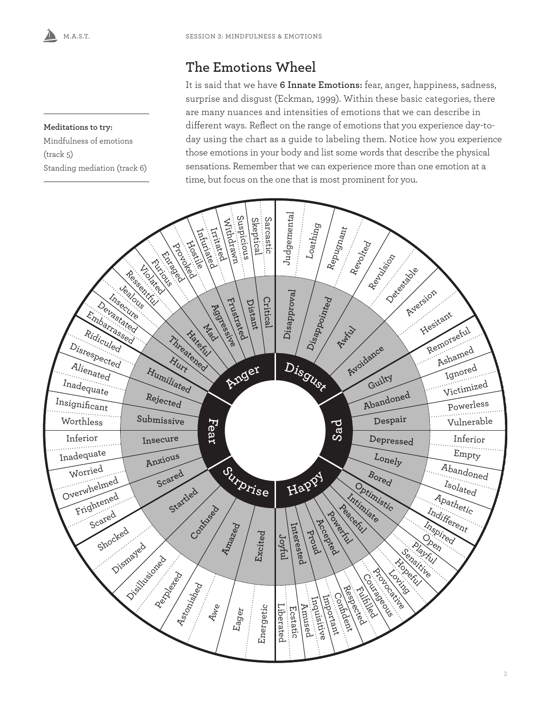**Meditations to try:**  Mindfulness of emotions (track 5) Standing mediation (track 6)

## **The Emotions Wheel**

It is said that we have **6 Innate Emotions:** fear, anger, happiness, sadness, surprise and disgust (Eckman, 1999). Within these basic categories, there are many nuances and intensities of emotions that we can describe in different ways. Reflect on the range of emotions that you experience day-today using the chart as a guide to labeling them. Notice how you experience those emotions in your body and list some words that describe the physical sensations. Remember that we can experience more than one emotion at a time, but focus on the one that is most prominent for you.